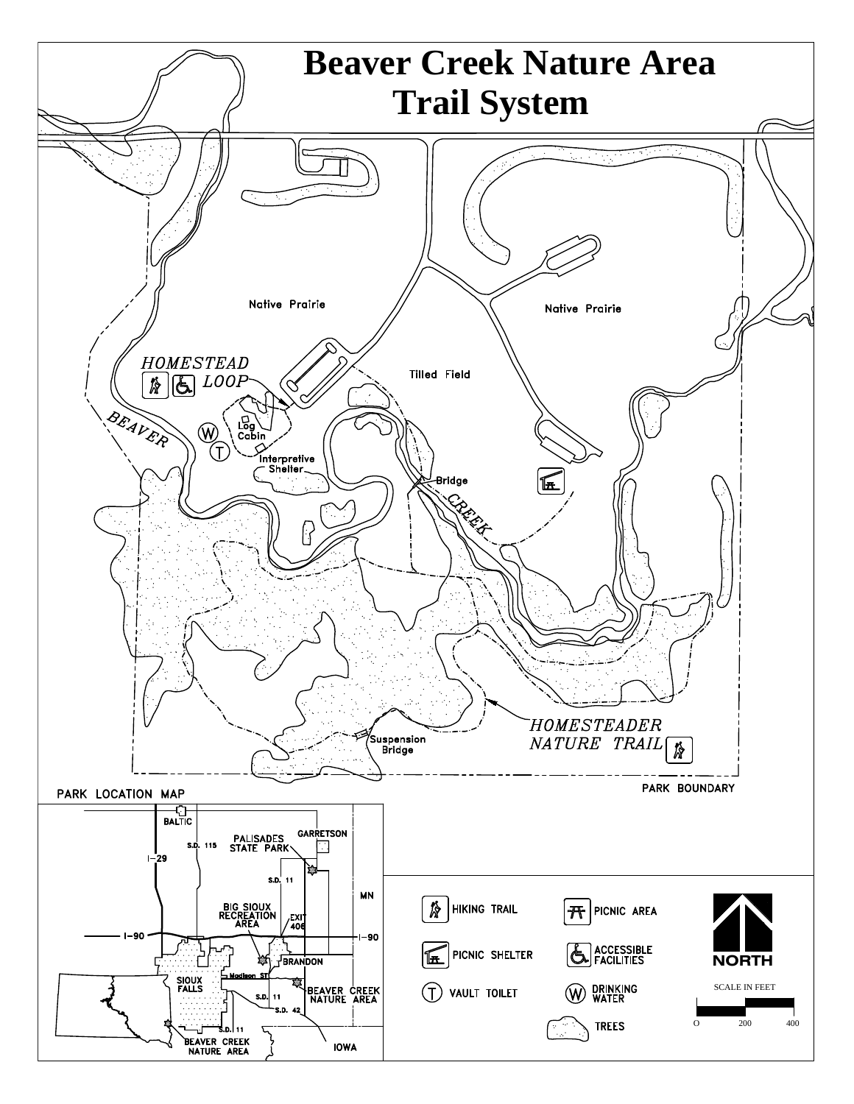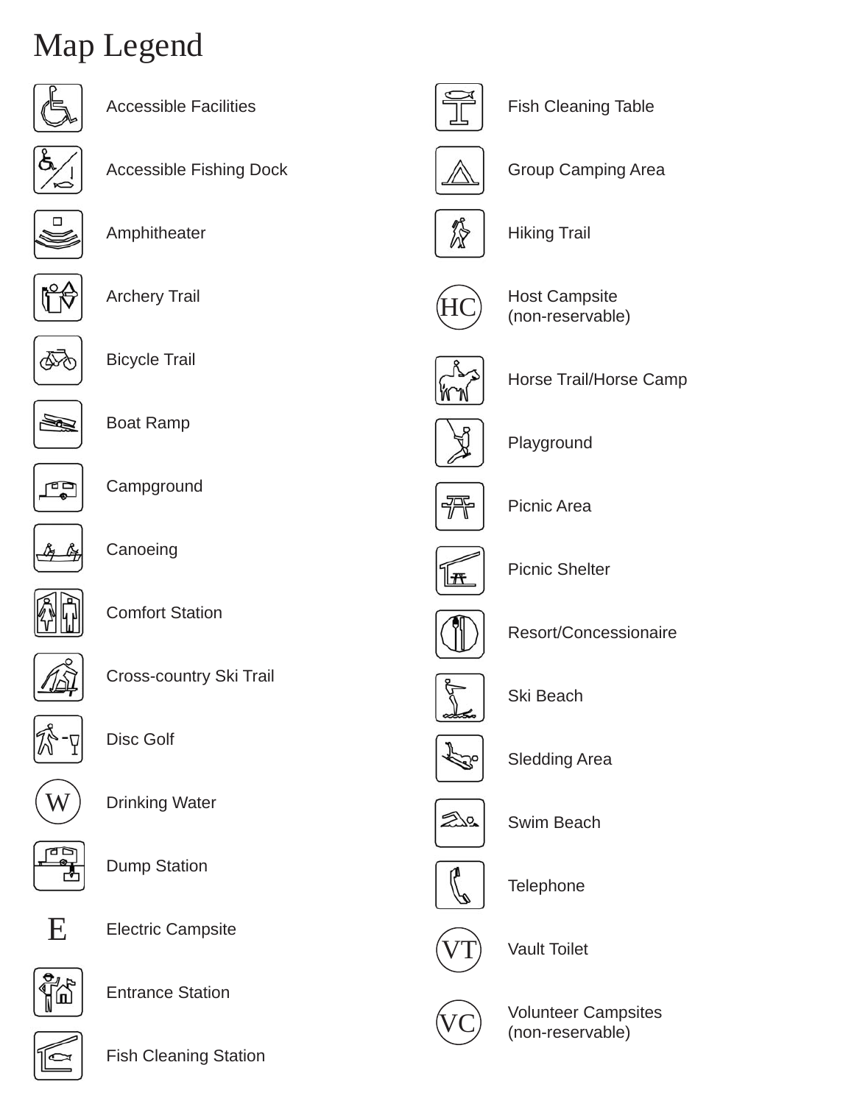# Map Legend



| Accessible Facilities          |  |
|--------------------------------|--|
| <b>Accessible Fishing Dock</b> |  |
| Amphitheater                   |  |



 $\Box$ 

Archery Trail



Bicycle Trail



Boat Ramp



**Campground** 



**Canoeing** 



Comfort Station



Cross-country Ski Trail



Disc Golf



Drinking Water



Dump Station



Electric Campsite



Entrance Station



Fish Cleaning Station



Fish Cleaning Table



Group Camping Area



Hiking Trail



Host Campsite (non-reservable)



Horse Trail/Horse Camp



Playground



Picnic Area



Picnic Shelter



Resort/Concessionaire



Ski Beach



Sledding Area



Swim Beach



**Telephone** 



Vault Toilet



Volunteer Campsites (non-reservable)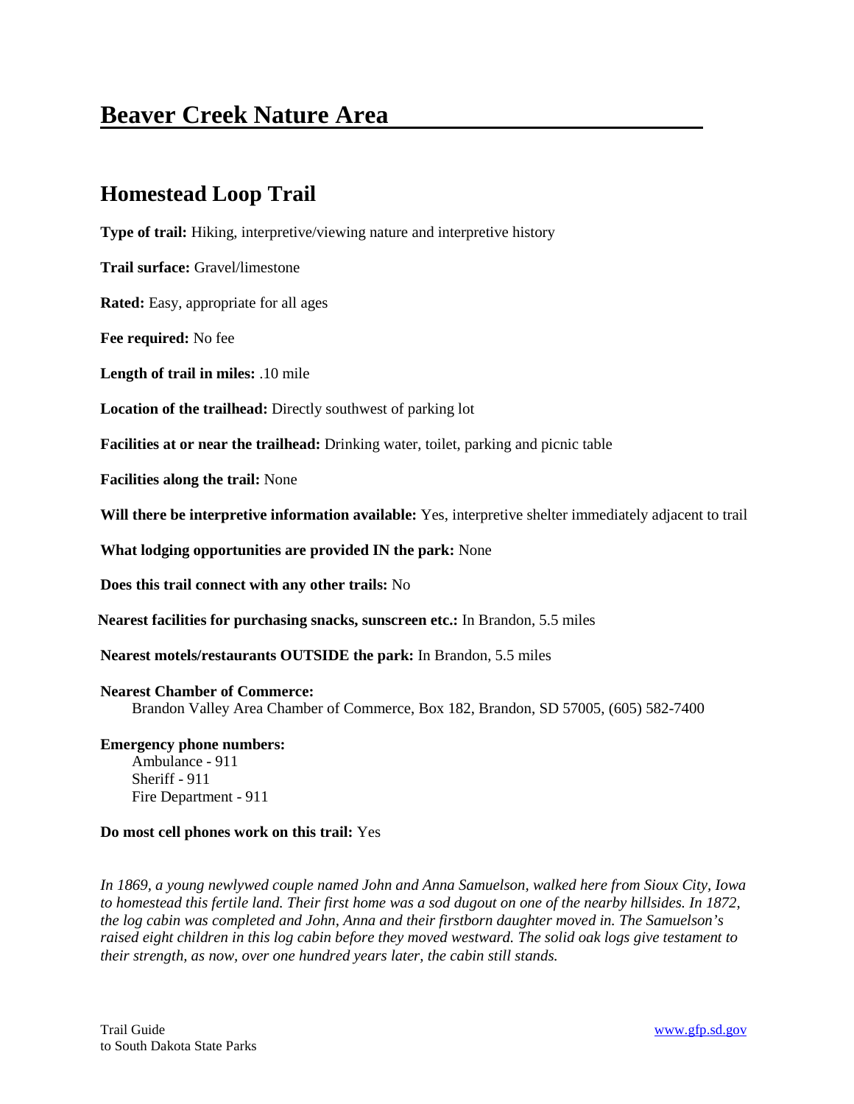# **Beaver Creek Nature Area**

# **Homestead Loop Trail**

**Type of trail:** Hiking, interpretive/viewing nature and interpretive history

**Trail surface:** Gravel/limestone

**Rated:** Easy, appropriate for all ages

**Fee required:** No fee

**Length of trail in miles:** .10 mile

**Location of the trailhead:** Directly southwest of parking lot

**Facilities at or near the trailhead:** Drinking water, toilet, parking and picnic table

**Facilities along the trail:** None

**Will there be interpretive information available:** Yes, interpretive shelter immediately adjacent to trail

**What lodging opportunities are provided IN the park:** None

**Does this trail connect with any other trails:** No

**Nearest facilities for purchasing snacks, sunscreen etc.:** In Brandon, 5.5 miles

**Nearest motels/restaurants OUTSIDE the park:** In Brandon, 5.5 miles

#### **Nearest Chamber of Commerce:**

Brandon Valley Area Chamber of Commerce, Box 182, Brandon, SD 57005, (605) 582-7400

# **Emergency phone numbers:** Ambulance - 911

Sheriff - 911 Fire Department - 911

# **Do most cell phones work on this trail:** Yes

*In 1869, a young newlywed couple named John and Anna Samuelson, walked here from Sioux City, Iowa to homestead this fertile land. Their first home was a sod dugout on one of the nearby hillsides. In 1872, the log cabin was completed and John, Anna and their firstborn daughter moved in. The Samuelson's raised eight children in this log cabin before they moved westward. The solid oak logs give testament to their strength, as now, over one hundred years later, the cabin still stands.*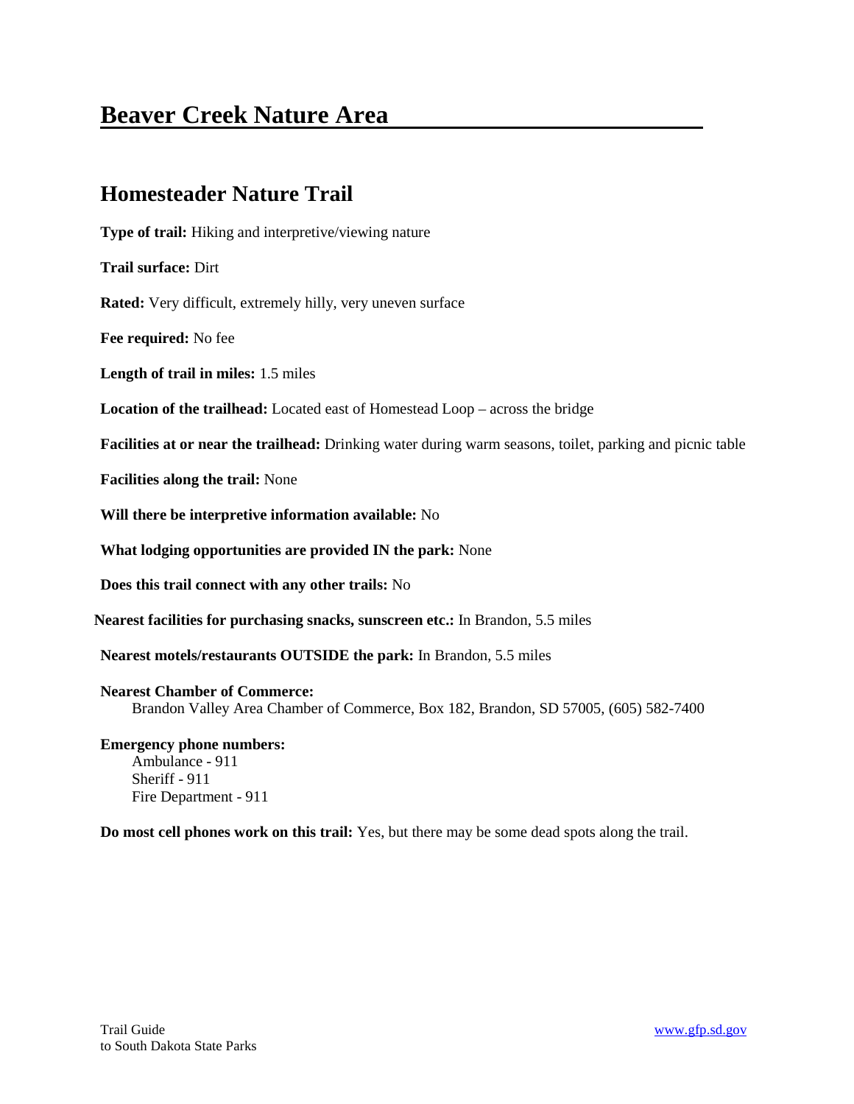# **Beaver Creek Nature Area**

# **Homesteader Nature Trail**

**Type of trail:** Hiking and interpretive/viewing nature **Trail surface:** Dirt **Rated:** Very difficult, extremely hilly, very uneven surface **Fee required:** No fee **Length of trail in miles:** 1.5 miles **Location of the trailhead:** Located east of Homestead Loop – across the bridge **Facilities at or near the trailhead:** Drinking water during warm seasons, toilet, parking and picnic table **Facilities along the trail:** None **Will there be interpretive information available:** No **What lodging opportunities are provided IN the park:** None **Does this trail connect with any other trails:** No **Nearest facilities for purchasing snacks, sunscreen etc.:** In Brandon, 5.5 miles **Nearest motels/restaurants OUTSIDE the park:** In Brandon, 5.5 miles **Nearest Chamber of Commerce:** Brandon Valley Area Chamber of Commerce, Box 182, Brandon, SD 57005, (605) 582-7400

**Emergency phone numbers:** Ambulance - 911 Sheriff - 911 Fire Department - 911

**Do most cell phones work on this trail:** Yes, but there may be some dead spots along the trail.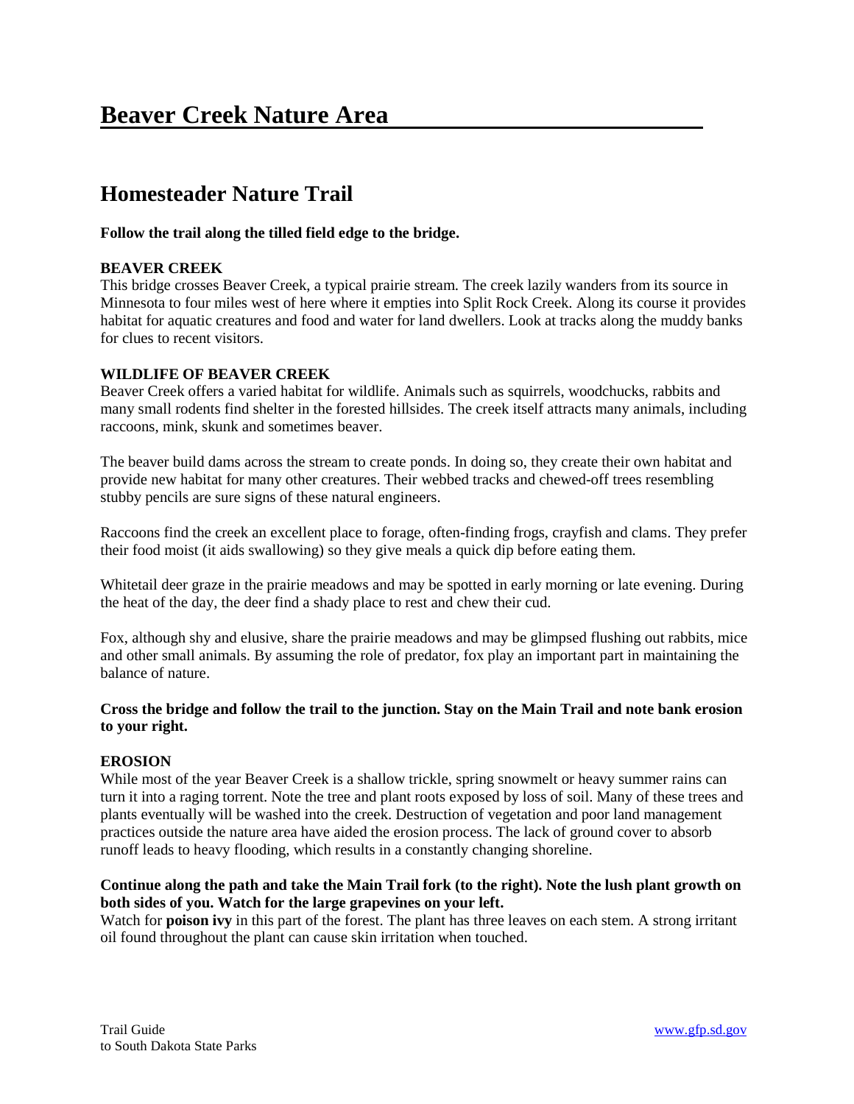# **Beaver Creek Nature Area**

# **Homesteader Nature Trail**

# **Follow the trail along the tilled field edge to the bridge.**

# **BEAVER CREEK**

This bridge crosses Beaver Creek, a typical prairie stream. The creek lazily wanders from its source in Minnesota to four miles west of here where it empties into Split Rock Creek. Along its course it provides habitat for aquatic creatures and food and water for land dwellers. Look at tracks along the muddy banks for clues to recent visitors.

# **WILDLIFE OF BEAVER CREEK**

Beaver Creek offers a varied habitat for wildlife. Animals such as squirrels, woodchucks, rabbits and many small rodents find shelter in the forested hillsides. The creek itself attracts many animals, including raccoons, mink, skunk and sometimes beaver.

The beaver build dams across the stream to create ponds. In doing so, they create their own habitat and provide new habitat for many other creatures. Their webbed tracks and chewed-off trees resembling stubby pencils are sure signs of these natural engineers.

Raccoons find the creek an excellent place to forage, often-finding frogs, crayfish and clams. They prefer their food moist (it aids swallowing) so they give meals a quick dip before eating them.

Whitetail deer graze in the prairie meadows and may be spotted in early morning or late evening. During the heat of the day, the deer find a shady place to rest and chew their cud.

Fox, although shy and elusive, share the prairie meadows and may be glimpsed flushing out rabbits, mice and other small animals. By assuming the role of predator, fox play an important part in maintaining the balance of nature.

# **Cross the bridge and follow the trail to the junction. Stay on the Main Trail and note bank erosion to your right.**

# **EROSION**

While most of the year Beaver Creek is a shallow trickle, spring snowmelt or heavy summer rains can turn it into a raging torrent. Note the tree and plant roots exposed by loss of soil. Many of these trees and plants eventually will be washed into the creek. Destruction of vegetation and poor land management practices outside the nature area have aided the erosion process. The lack of ground cover to absorb runoff leads to heavy flooding, which results in a constantly changing shoreline.

# **Continue along the path and take the Main Trail fork (to the right). Note the lush plant growth on both sides of you. Watch for the large grapevines on your left.**

Watch for **poison ivy** in this part of the forest. The plant has three leaves on each stem. A strong irritant oil found throughout the plant can cause skin irritation when touched.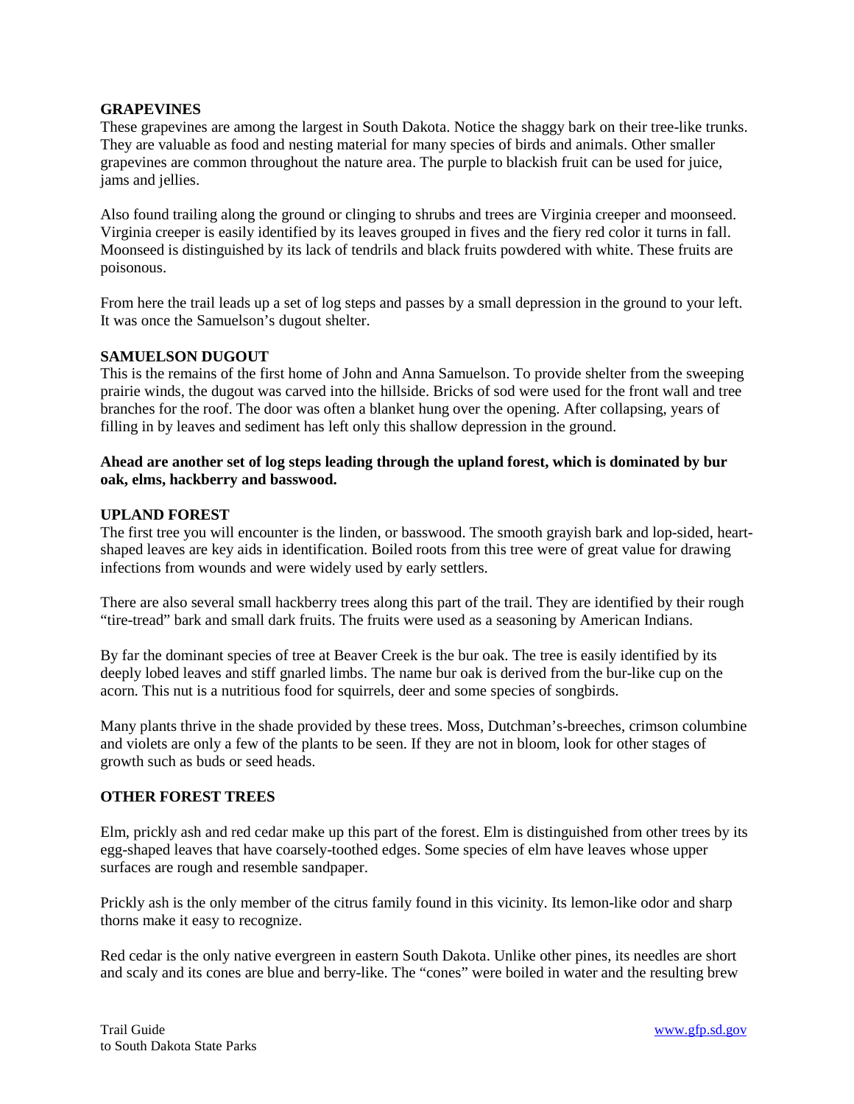#### **GRAPEVINES**

These grapevines are among the largest in South Dakota. Notice the shaggy bark on their tree-like trunks. They are valuable as food and nesting material for many species of birds and animals. Other smaller grapevines are common throughout the nature area. The purple to blackish fruit can be used for juice, jams and jellies.

Also found trailing along the ground or clinging to shrubs and trees are Virginia creeper and moonseed. Virginia creeper is easily identified by its leaves grouped in fives and the fiery red color it turns in fall. Moonseed is distinguished by its lack of tendrils and black fruits powdered with white. These fruits are poisonous.

From here the trail leads up a set of log steps and passes by a small depression in the ground to your left. It was once the Samuelson's dugout shelter.

# **SAMUELSON DUGOUT**

This is the remains of the first home of John and Anna Samuelson. To provide shelter from the sweeping prairie winds, the dugout was carved into the hillside. Bricks of sod were used for the front wall and tree branches for the roof. The door was often a blanket hung over the opening. After collapsing, years of filling in by leaves and sediment has left only this shallow depression in the ground.

### **Ahead are another set of log steps leading through the upland forest, which is dominated by bur oak, elms, hackberry and basswood.**

#### **UPLAND FOREST**

The first tree you will encounter is the linden, or basswood. The smooth grayish bark and lop-sided, heartshaped leaves are key aids in identification. Boiled roots from this tree were of great value for drawing infections from wounds and were widely used by early settlers.

There are also several small hackberry trees along this part of the trail. They are identified by their rough "tire-tread" bark and small dark fruits. The fruits were used as a seasoning by American Indians.

By far the dominant species of tree at Beaver Creek is the bur oak. The tree is easily identified by its deeply lobed leaves and stiff gnarled limbs. The name bur oak is derived from the bur-like cup on the acorn. This nut is a nutritious food for squirrels, deer and some species of songbirds.

Many plants thrive in the shade provided by these trees. Moss, Dutchman's-breeches, crimson columbine and violets are only a few of the plants to be seen. If they are not in bloom, look for other stages of growth such as buds or seed heads.

#### **OTHER FOREST TREES**

Elm, prickly ash and red cedar make up this part of the forest. Elm is distinguished from other trees by its egg-shaped leaves that have coarsely-toothed edges. Some species of elm have leaves whose upper surfaces are rough and resemble sandpaper.

Prickly ash is the only member of the citrus family found in this vicinity. Its lemon-like odor and sharp thorns make it easy to recognize.

Red cedar is the only native evergreen in eastern South Dakota. Unlike other pines, its needles are short and scaly and its cones are blue and berry-like. The "cones" were boiled in water and the resulting brew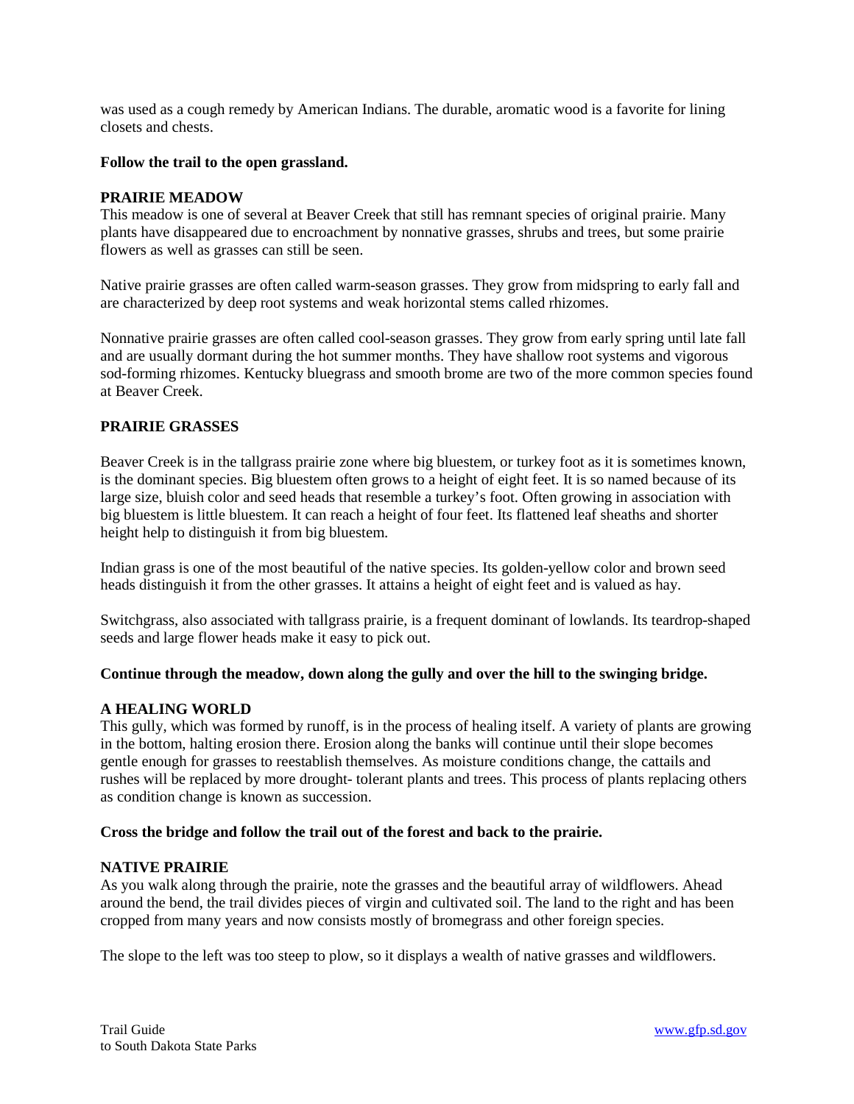was used as a cough remedy by American Indians. The durable, aromatic wood is a favorite for lining closets and chests.

#### **Follow the trail to the open grassland.**

#### **PRAIRIE MEADOW**

This meadow is one of several at Beaver Creek that still has remnant species of original prairie. Many plants have disappeared due to encroachment by nonnative grasses, shrubs and trees, but some prairie flowers as well as grasses can still be seen.

Native prairie grasses are often called warm-season grasses. They grow from midspring to early fall and are characterized by deep root systems and weak horizontal stems called rhizomes.

Nonnative prairie grasses are often called cool-season grasses. They grow from early spring until late fall and are usually dormant during the hot summer months. They have shallow root systems and vigorous sod-forming rhizomes. Kentucky bluegrass and smooth brome are two of the more common species found at Beaver Creek.

# **PRAIRIE GRASSES**

Beaver Creek is in the tallgrass prairie zone where big bluestem, or turkey foot as it is sometimes known, is the dominant species. Big bluestem often grows to a height of eight feet. It is so named because of its large size, bluish color and seed heads that resemble a turkey's foot. Often growing in association with big bluestem is little bluestem. It can reach a height of four feet. Its flattened leaf sheaths and shorter height help to distinguish it from big bluestem.

Indian grass is one of the most beautiful of the native species. Its golden-yellow color and brown seed heads distinguish it from the other grasses. It attains a height of eight feet and is valued as hay.

Switchgrass, also associated with tallgrass prairie, is a frequent dominant of lowlands. Its teardrop-shaped seeds and large flower heads make it easy to pick out.

# **Continue through the meadow, down along the gully and over the hill to the swinging bridge.**

# **A HEALING WORLD**

This gully, which was formed by runoff, is in the process of healing itself. A variety of plants are growing in the bottom, halting erosion there. Erosion along the banks will continue until their slope becomes gentle enough for grasses to reestablish themselves. As moisture conditions change, the cattails and rushes will be replaced by more drought- tolerant plants and trees. This process of plants replacing others as condition change is known as succession.

# **Cross the bridge and follow the trail out of the forest and back to the prairie.**

#### **NATIVE PRAIRIE**

As you walk along through the prairie, note the grasses and the beautiful array of wildflowers. Ahead around the bend, the trail divides pieces of virgin and cultivated soil. The land to the right and has been cropped from many years and now consists mostly of bromegrass and other foreign species.

The slope to the left was too steep to plow, so it displays a wealth of native grasses and wildflowers.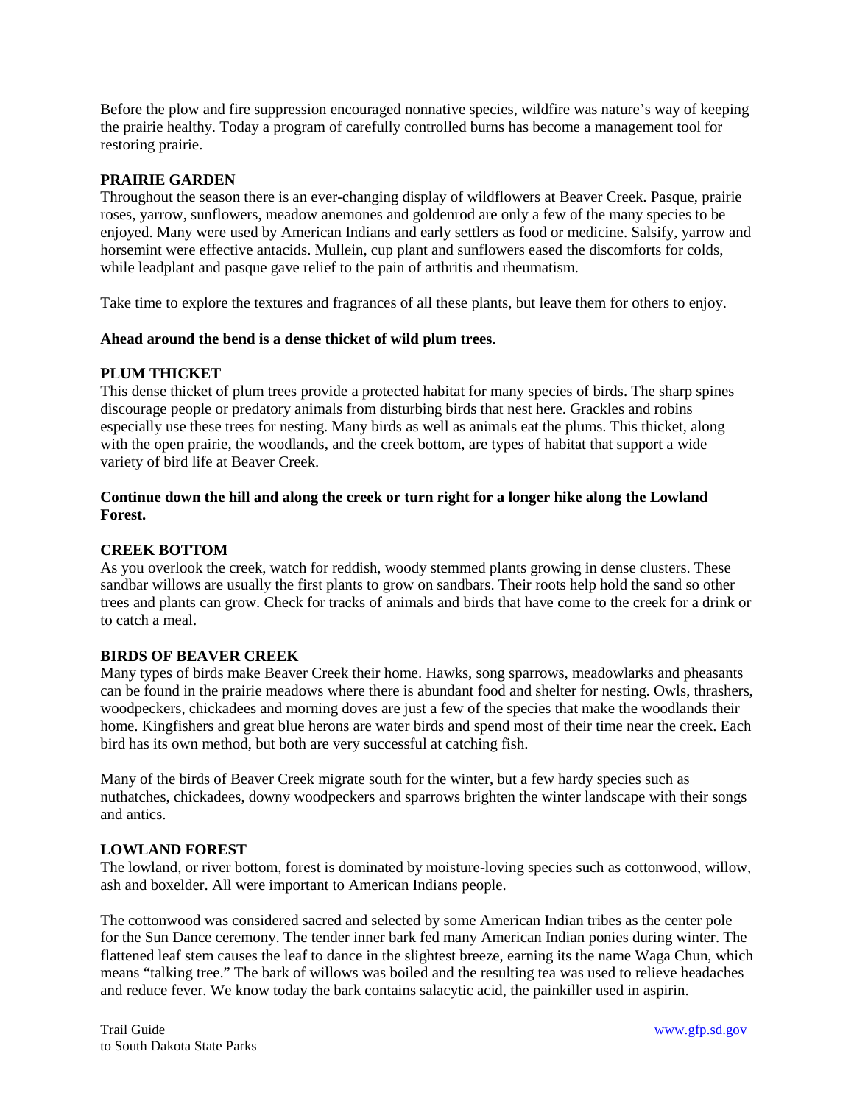Before the plow and fire suppression encouraged nonnative species, wildfire was nature's way of keeping the prairie healthy. Today a program of carefully controlled burns has become a management tool for restoring prairie.

# **PRAIRIE GARDEN**

Throughout the season there is an ever-changing display of wildflowers at Beaver Creek. Pasque, prairie roses, yarrow, sunflowers, meadow anemones and goldenrod are only a few of the many species to be enjoyed. Many were used by American Indians and early settlers as food or medicine. Salsify, yarrow and horsemint were effective antacids. Mullein, cup plant and sunflowers eased the discomforts for colds, while leadplant and pasque gave relief to the pain of arthritis and rheumatism.

Take time to explore the textures and fragrances of all these plants, but leave them for others to enjoy.

#### **Ahead around the bend is a dense thicket of wild plum trees.**

#### **PLUM THICKET**

This dense thicket of plum trees provide a protected habitat for many species of birds. The sharp spines discourage people or predatory animals from disturbing birds that nest here. Grackles and robins especially use these trees for nesting. Many birds as well as animals eat the plums. This thicket, along with the open prairie, the woodlands, and the creek bottom, are types of habitat that support a wide variety of bird life at Beaver Creek.

# **Continue down the hill and along the creek or turn right for a longer hike along the Lowland Forest.**

### **CREEK BOTTOM**

As you overlook the creek, watch for reddish, woody stemmed plants growing in dense clusters. These sandbar willows are usually the first plants to grow on sandbars. Their roots help hold the sand so other trees and plants can grow. Check for tracks of animals and birds that have come to the creek for a drink or to catch a meal.

# **BIRDS OF BEAVER CREEK**

Many types of birds make Beaver Creek their home. Hawks, song sparrows, meadowlarks and pheasants can be found in the prairie meadows where there is abundant food and shelter for nesting. Owls, thrashers, woodpeckers, chickadees and morning doves are just a few of the species that make the woodlands their home. Kingfishers and great blue herons are water birds and spend most of their time near the creek. Each bird has its own method, but both are very successful at catching fish.

Many of the birds of Beaver Creek migrate south for the winter, but a few hardy species such as nuthatches, chickadees, downy woodpeckers and sparrows brighten the winter landscape with their songs and antics.

# **LOWLAND FOREST**

The lowland, or river bottom, forest is dominated by moisture-loving species such as cottonwood, willow, ash and boxelder. All were important to American Indians people.

The cottonwood was considered sacred and selected by some American Indian tribes as the center pole for the Sun Dance ceremony. The tender inner bark fed many American Indian ponies during winter. The flattened leaf stem causes the leaf to dance in the slightest breeze, earning its the name Waga Chun, which means "talking tree." The bark of willows was boiled and the resulting tea was used to relieve headaches and reduce fever. We know today the bark contains salacytic acid, the painkiller used in aspirin.